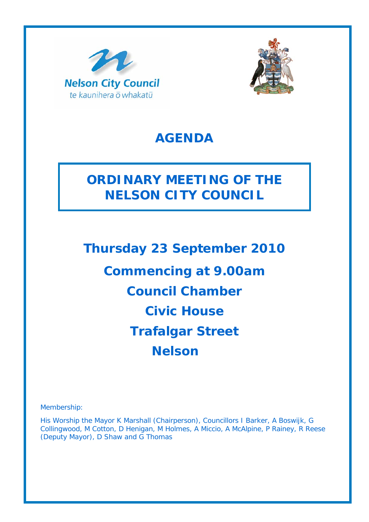



# **AGENDA**

# **ORDINARY MEETING OF THE NELSON CITY COUNCIL**

**Thursday 23 September 2010 Commencing at 9.00am Council Chamber Civic House Trafalgar Street Nelson** 

Membership:

His Worship the Mayor K Marshall (Chairperson), Councillors I Barker, A Boswijk, G Collingwood, M Cotton, D Henigan, M Holmes, A Miccio, A McAlpine, P Rainey, R Reese (Deputy Mayor), D Shaw and G Thomas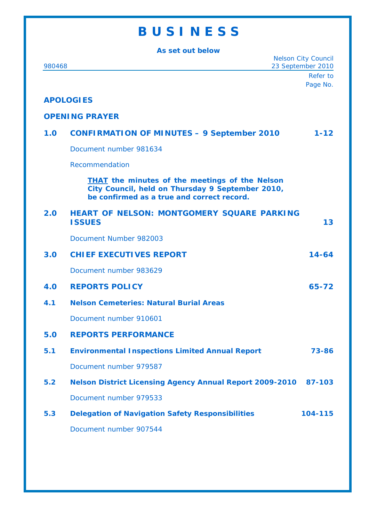# **B U S I N E S S**

| As set out below                                          |                                                                                                                                                         |          |
|-----------------------------------------------------------|---------------------------------------------------------------------------------------------------------------------------------------------------------|----------|
| <b>Nelson City Council</b><br>23 September 2010<br>980468 |                                                                                                                                                         |          |
|                                                           |                                                                                                                                                         | Refer to |
|                                                           |                                                                                                                                                         | Page No. |
|                                                           | <b>APOLOGIES</b>                                                                                                                                        |          |
|                                                           | <b>OPENING PRAYER</b>                                                                                                                                   |          |
| 1.0                                                       | <b>CONFIRMATION OF MINUTES - 9 September 2010</b>                                                                                                       | $1 - 12$ |
|                                                           | Document number 981634                                                                                                                                  |          |
|                                                           | Recommendation                                                                                                                                          |          |
|                                                           | <b>THAT</b> the minutes of the meetings of the Nelson<br>City Council, held on Thursday 9 September 2010,<br>be confirmed as a true and correct record. |          |
| 2.0 <sub>1</sub>                                          | <b>HEART OF NELSON: MONTGOMERY SQUARE PARKING</b><br><b>ISSUES</b>                                                                                      | 13       |
|                                                           | Document Number 982003                                                                                                                                  |          |
| 3.0                                                       | <b>CHIEF EXECUTIVES REPORT</b>                                                                                                                          | 14-64    |
|                                                           | Document number 983629                                                                                                                                  |          |
| 4.0                                                       | <b>REPORTS POLICY</b>                                                                                                                                   | 65-72    |
| 4.1                                                       | <b>Nelson Cemeteries: Natural Burial Areas</b>                                                                                                          |          |
|                                                           | Document number 910601                                                                                                                                  |          |
| 5.0                                                       | <b>REPORTS PERFORMANCE</b>                                                                                                                              |          |
| 5.1                                                       | <b>Environmental Inspections Limited Annual Report</b>                                                                                                  | 73-86    |
|                                                           | Document number 979587                                                                                                                                  |          |
| 5.2                                                       | <b>Nelson District Licensing Agency Annual Report 2009-2010</b>                                                                                         | 87-103   |
|                                                           | Document number 979533                                                                                                                                  |          |
| 5.3                                                       | <b>Delegation of Navigation Safety Responsibilities</b>                                                                                                 | 104-115  |
|                                                           | Document number 907544                                                                                                                                  |          |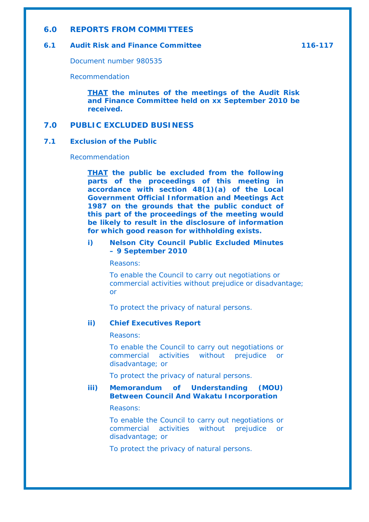### **6.0 REPORTS FROM COMMITTEES**

## **6.1 Audit Risk and Finance Committee 116-117**

Document number 980535

Recommendation

*THAT the minutes of the meetings of the Audit Risk and Finance Committee held on xx September 2010 be received.* 

# **7.0 PUBLIC EXCLUDED BUSINESS**

### **7.1 Exclusion of the Public**

#### Recommendation

*THAT the public be excluded from the following parts of the proceedings of this meeting in accordance with section 48(1)(a) of the Local Government Official Information and Meetings Act 1987 on the grounds that the public conduct of this part of the proceedings of the meeting would be likely to result in the disclosure of information for which good reason for withholding exists.* 

## *i) Nelson City Council Public Excluded Minutes – 9 September 2010*

*Reasons:* 

*To enable the Council to carry out negotiations or commercial activities without prejudice or disadvantage; or* 

*To protect the privacy of natural persons.* 

#### *ii) Chief Executives Report*

*Reasons:* 

*To enable the Council to carry out negotiations or commercial activities without prejudice or disadvantage; or* 

*To protect the privacy of natural persons.* 

## *iii) Memorandum of Understanding (MOU) Between Council And Wakatu Incorporation*

*Reasons:* 

*To enable the Council to carry out negotiations or commercial activities without prejudice or disadvantage; or* 

*To protect the privacy of natural persons.*